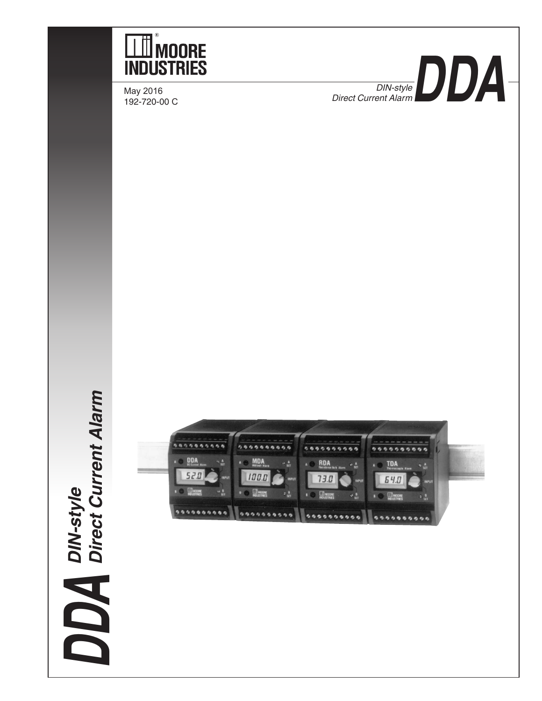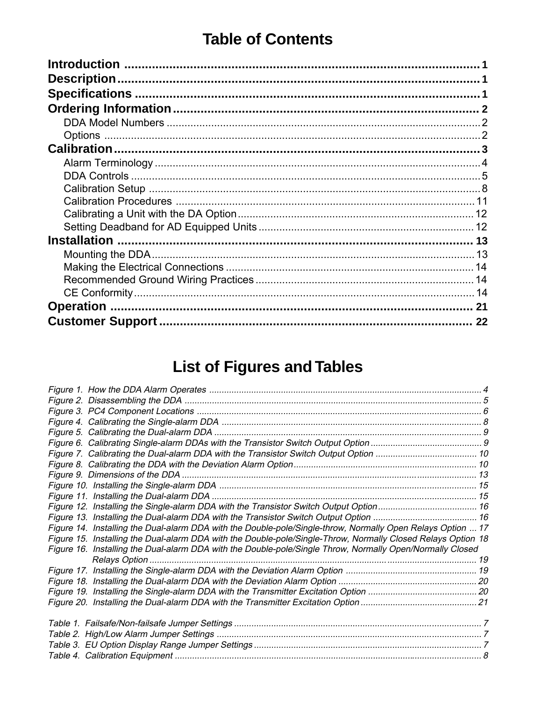# **Table of Contents**

| 22 |
|----|

# **List of Figures and Tables**

| Figure 14. Installing the Dual-alarm DDA with the Double-pole/Single-throw, Normally Open Relays Option  17  |  |
|--------------------------------------------------------------------------------------------------------------|--|
| Figure 15. Installing the Dual-alarm DDA with the Double-pole/Single-Throw, Normally Closed Relays Option 18 |  |
| Figure 16. Installing the Dual-alarm DDA with the Double-pole/Single Throw, Normally Open/Normally Closed    |  |
|                                                                                                              |  |
|                                                                                                              |  |
|                                                                                                              |  |
|                                                                                                              |  |
|                                                                                                              |  |
|                                                                                                              |  |
|                                                                                                              |  |
|                                                                                                              |  |
|                                                                                                              |  |
|                                                                                                              |  |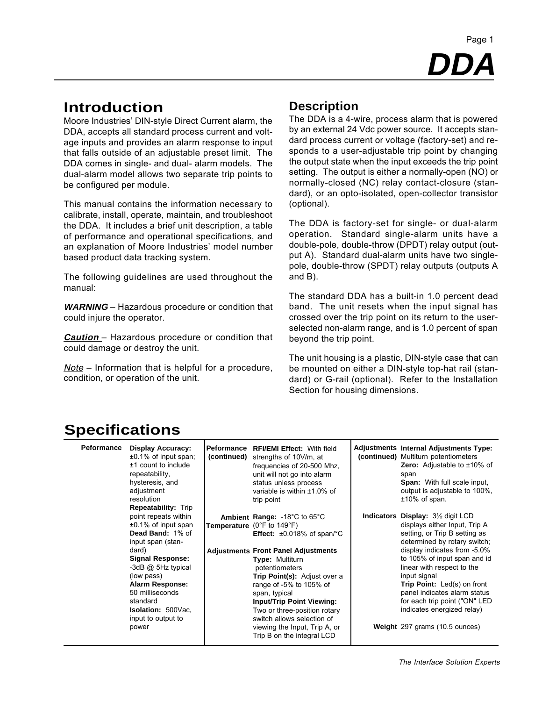# **DDA** Page 1

# **Introduction**

Moore Industries' DIN-style Direct Current alarm, the DDA, accepts all standard process current and voltage inputs and provides an alarm response to input that falls outside of an adjustable preset limit. The DDA comes in single- and dual- alarm models. The dual-alarm model allows two separate trip points to be configured per module.

This manual contains the information necessary to calibrate, install, operate, maintain, and troubleshoot the DDA. It includes a brief unit description, a table of performance and operational specifications, and an explanation of Moore Industries' model number based product data tracking system.

The following guidelines are used throughout the manual:

**WARNING** – Hazardous procedure or condition that could injure the operator.

**Caution** – Hazardous procedure or condition that could damage or destroy the unit.

Note – Information that is helpful for a procedure, condition, or operation of the unit.

## **Description**

The DDA is a 4-wire, process alarm that is powered by an external 24 Vdc power source. It accepts standard process current or voltage (factory-set) and responds to a user-adjustable trip point by changing the output state when the input exceeds the trip point setting. The output is either a normally-open (NO) or normally-closed (NC) relay contact-closure (standard), or an opto-isolated, open-collector transistor (optional).

The DDA is factory-set for single- or dual-alarm operation. Standard single-alarm units have a double-pole, double-throw (DPDT) relay output (output A). Standard dual-alarm units have two singlepole, double-throw (SPDT) relay outputs (outputs A and B).

The standard DDA has a built-in 1.0 percent dead band. The unit resets when the input signal has crossed over the trip point on its return to the userselected non-alarm range, and is 1.0 percent of span beyond the trip point.

The unit housing is a plastic, DIN-style case that can be mounted on either a DIN-style top-hat rail (standard) or G-rail (optional). Refer to the Installation Section for housing dimensions.

# **Specifications**

| Peformance | <b>Display Accuracy:</b><br>$\pm 0.1\%$ of input span;<br>$±1$ count to include<br>repeatability,<br>hysteresis, and<br>adjustment<br>resolution<br><b>Repeatability: Trip</b>                                                                                                       | <b>Peformance</b><br>(continued) | <b>RFI/EMI Effect: With field</b><br>strengths of 10V/m, at<br>frequencies of 20-500 Mhz.<br>unit will not go into alarm<br>status unless process<br>variable is within $±1.0\%$ of<br>trip point                                                                                                                                                                                                                                                                 | <b>Adjustments Internal Adjustments Type:</b><br>(continued) Multiturn potentiometers<br><b>Zero:</b> Adjustable to $\pm 10\%$ of<br>span<br><b>Span:</b> With full scale input,<br>output is adjustable to 100%,<br>$±10\%$ of span.                                                                                                                                                                                     |
|------------|--------------------------------------------------------------------------------------------------------------------------------------------------------------------------------------------------------------------------------------------------------------------------------------|----------------------------------|-------------------------------------------------------------------------------------------------------------------------------------------------------------------------------------------------------------------------------------------------------------------------------------------------------------------------------------------------------------------------------------------------------------------------------------------------------------------|---------------------------------------------------------------------------------------------------------------------------------------------------------------------------------------------------------------------------------------------------------------------------------------------------------------------------------------------------------------------------------------------------------------------------|
|            | point repeats within<br>$±0.1\%$ of input span<br>Dead Band: 1% of<br>input span (stan-<br>dard)<br><b>Signal Response:</b><br>-3dB @ 5Hz typical<br>(low pass)<br><b>Alarm Response:</b><br>50 milliseconds<br>standard<br><b>Isolation: 500Vac.</b><br>input to output to<br>power |                                  | Ambient Range: $-18^{\circ}$ C to 65 $^{\circ}$ C<br>Temperature (0°F to 149°F)<br><b>Effect:</b> $\pm 0.018\%$ of span/°C<br><b>Adjustments Front Panel Adjustments</b><br><b>Type: Multiturn</b><br>potentiometers<br>Trip Point(s): Adjust over a<br>range of -5% to 105% of<br>span, typical<br><b>Input/Trip Point Viewing:</b><br>Two or three-position rotary<br>switch allows selection of<br>viewing the Input, Trip A, or<br>Trip B on the integral LCD | <b>Indicators Display: 31/2 digit LCD</b><br>displays either Input, Trip A<br>setting, or Trip B setting as<br>determined by rotary switch;<br>display indicates from -5.0%<br>to 105% of input span and id<br>linear with respect to the<br>input signal<br>Trip Point: Led(s) on front<br>panel indicates alarm status<br>for each trip point ("ON" LED<br>indicates energized relay)<br>Weight 297 grams (10.5 ounces) |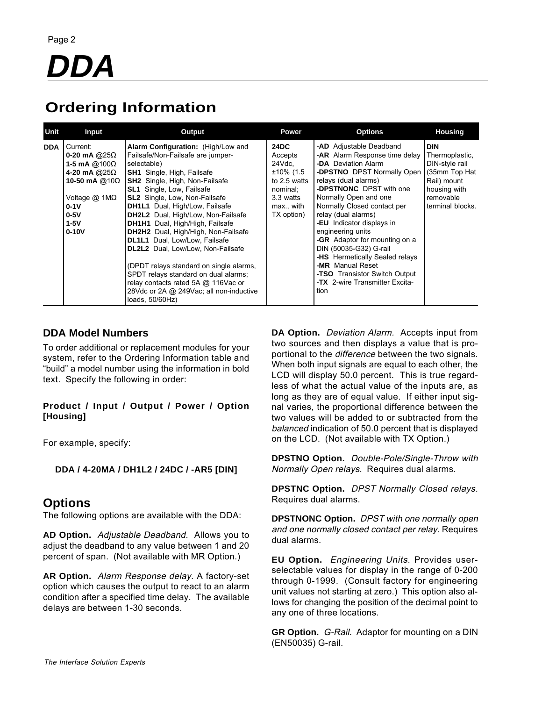# **Ordering Information**

| Unit       | Input                                                                                                                                                                       | Output                                                                                                                                                                                                                                                                                                                                                                                                                                                                                                                                                                                                                                                                                | Power                                                                                                              | <b>Options</b>                                                                                                                                                                                                                                                                                                                                                                                                                                                                                                             | <b>Housing</b>                                                                                                                  |
|------------|-----------------------------------------------------------------------------------------------------------------------------------------------------------------------------|---------------------------------------------------------------------------------------------------------------------------------------------------------------------------------------------------------------------------------------------------------------------------------------------------------------------------------------------------------------------------------------------------------------------------------------------------------------------------------------------------------------------------------------------------------------------------------------------------------------------------------------------------------------------------------------|--------------------------------------------------------------------------------------------------------------------|----------------------------------------------------------------------------------------------------------------------------------------------------------------------------------------------------------------------------------------------------------------------------------------------------------------------------------------------------------------------------------------------------------------------------------------------------------------------------------------------------------------------------|---------------------------------------------------------------------------------------------------------------------------------|
| <b>DDA</b> | Current:<br>0-20 mA @25 $\Omega$<br>1-5 mA $@100\Omega$<br>4-20 mA @25 $\Omega$<br>10-50 mA $@10\Omega$<br>Voltage @ 1M $\Omega$<br>$0-1V$<br>$0-5V$<br>$1-5V$<br>$0 - 10V$ | Alarm Configuration: (High/Low and<br>Failsafe/Non-Failsafe are jumper-<br>selectable)<br><b>SH1</b> Single, High, Failsafe<br><b>SH2</b> Single, High, Non-Failsafe<br><b>SL1</b> Single, Low, Failsafe<br><b>SL2</b> Single, Low, Non-Failsafe<br>DH1L1 Dual, High/Low, Failsafe<br><b>DH2L2</b> Dual, High/Low, Non-Failsafe<br><b>DH1H1</b> Dual, High/High, Failsafe<br><b>DH2H2</b> Dual, High/High, Non-Failsafe<br>DL1L1 Dual, Low/Low, Failsafe<br>DL2L2 Dual, Low/Low, Non-Failsafe<br>(DPDT relays standard on single alarms,<br>SPDT relays standard on dual alarms;<br>relay contacts rated 5A @ 116Vac or<br>28Vdc or 2A @ 249Vac; all non-inductive<br>loads, 50/60Hz) | <b>24DC</b><br>Accepts<br>24Vdc.<br>±10% (1.5<br>to 2.5 watts<br>nominal:<br>3.3 watts<br>max., with<br>TX option) | -AD Adjustable Deadband<br><b>-AR</b> Alarm Response time delay<br>-DA Deviation Alarm<br>- <b>DPSTNO</b> DPST Normally Open<br>relays (dual alarms)<br>-DPSTNONC DPST with one<br>Normally Open and one<br>Normally Closed contact per<br>relay (dual alarms)<br>-EU Indicator displays in<br>engineering units<br><b>-GR</b> Adaptor for mounting on a<br>DIN (50035-G32) G-rail<br>-HS Hermetically Sealed relays<br>-MR Manual Reset<br><b>-TSO</b> Transistor Switch Output<br>-TX 2-wire Transmitter Excita-<br>tion | <b>DIN</b><br>Thermoplastic,<br>DIN-style rail<br>(35mm Top Hat<br>Rail) mount<br>housing with<br>removable<br>terminal blocks. |

#### **DDA Model Numbers**

To order additional or replacement modules for your system, refer to the Ordering Information table and "build" a model number using the information in bold text. Specify the following in order:

#### **Product / Input / Output / Power / Option [Housing]**

For example, specify:

#### **DDA / 4-20MA / DH1L2 / 24DC / -AR5 [DIN]**

### **Options**

The following options are available with the DDA:

**AD Option.** Adjustable Deadband. Allows you to adjust the deadband to any value between 1 and 20 percent of span. (Not available with MR Option.)

**AR Option.** Alarm Response delay. A factory-set option which causes the output to react to an alarm condition after a specified time delay. The available delays are between 1-30 seconds.

**DA Option.** Deviation Alarm. Accepts input from two sources and then displays a value that is proportional to the difference between the two signals. When both input signals are equal to each other, the LCD will display 50.0 percent. This is true regardless of what the actual value of the inputs are, as long as they are of equal value. If either input signal varies, the proportional difference between the two values will be added to or subtracted from the balanced indication of 50.0 percent that is displayed on the LCD. (Not available with TX Option.)

**DPSTNO Option.** Double-Pole/Single-Throw with Normally Open relays. Requires dual alarms.

**DPSTNC Option.** DPST Normally Closed relays. Requires dual alarms.

**DPSTNONC Option.** DPST with one normally open and one normally closed contact per relay. Requires dual alarms.

**EU Option.** Engineering Units. Provides userselectable values for display in the range of 0-200 through 0-1999. (Consult factory for engineering unit values not starting at zero.) This option also allows for changing the position of the decimal point to any one of three locations.

**GR Option.** G-Rail. Adaptor for mounting on a DIN (EN50035) G-rail.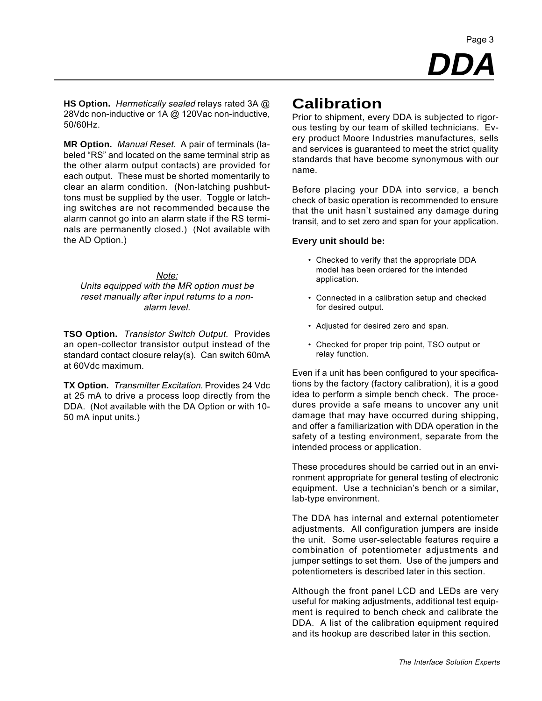**DDA** Page 3

**HS Option.** Hermetically sealed relays rated 3A @ 28Vdc non-inductive or 1A @ 120Vac non-inductive, 50/60Hz.

**MR Option.** Manual Reset. A pair of terminals (labeled "RS" and located on the same terminal strip as the other alarm output contacts) are provided for each output. These must be shorted momentarily to clear an alarm condition. (Non-latching pushbuttons must be supplied by the user. Toggle or latching switches are not recommended because the alarm cannot go into an alarm state if the RS terminals are permanently closed.) (Not available with the AD Option.)

Note: Units equipped with the MR option must be reset manually after input returns to a nonalarm level.

**TSO Option.** Transistor Switch Output. Provides an open-collector transistor output instead of the standard contact closure relay(s). Can switch 60mA at 60Vdc maximum.

**TX Option.** Transmitter Excitation. Provides 24 Vdc at 25 mA to drive a process loop directly from the DDA. (Not available with the DA Option or with 10- 50 mA input units.)

## **Calibration**

Prior to shipment, every DDA is subjected to rigorous testing by our team of skilled technicians. Every product Moore Industries manufactures, sells and services is guaranteed to meet the strict quality standards that have become synonymous with our name.

Before placing your DDA into service, a bench check of basic operation is recommended to ensure that the unit hasn't sustained any damage during transit, and to set zero and span for your application.

#### **Every unit should be:**

- Checked to verify that the appropriate DDA model has been ordered for the intended application.
- Connected in a calibration setup and checked for desired output.
- Adjusted for desired zero and span.
- Checked for proper trip point, TSO output or relay function.

Even if a unit has been configured to your specifications by the factory (factory calibration), it is a good idea to perform a simple bench check. The procedures provide a safe means to uncover any unit damage that may have occurred during shipping, and offer a familiarization with DDA operation in the safety of a testing environment, separate from the intended process or application.

These procedures should be carried out in an environment appropriate for general testing of electronic equipment. Use a technician's bench or a similar, lab-type environment.

The DDA has internal and external potentiometer adjustments. All configuration jumpers are inside the unit. Some user-selectable features require a combination of potentiometer adjustments and jumper settings to set them. Use of the jumpers and potentiometers is described later in this section.

Although the front panel LCD and LEDs are very useful for making adjustments, additional test equipment is required to bench check and calibrate the DDA. A list of the calibration equipment required and its hookup are described later in this section.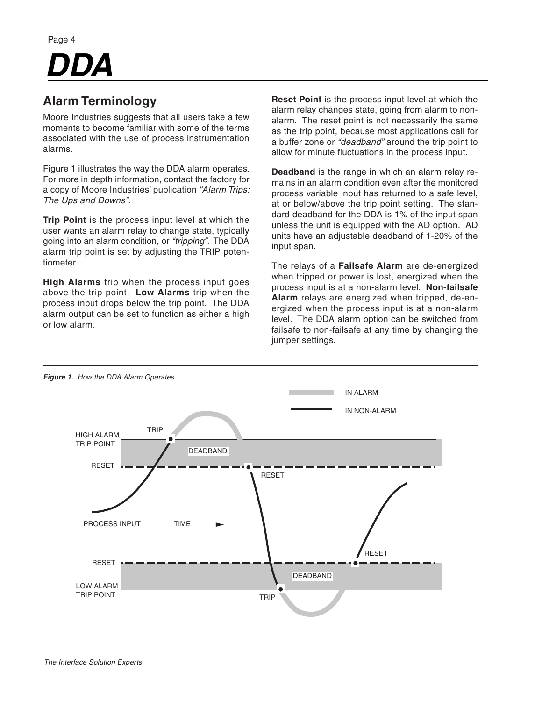# *DDA*

# **Alarm Terminology**

Moore Industries suggests that all users take a few moments to become familiar with some of the terms associated with the use of process instrumentation alarms.

Figure 1 illustrates the way the DDA alarm operates. For more in depth information, contact the factory for a copy of Moore Industries' publication *"Alarm Trips: The Ups and Downs"*.

**Trip Point** is the process input level at which the user wants an alarm relay to change state, typically going into an alarm condition, or *"tripping"*. The DDA alarm trip point is set by adjusting the TRIP potentiometer.

**High Alarms** trip when the process input goes above the trip point. **Low Alarms** trip when the process input drops below the trip point. The DDA alarm output can be set to function as either a high or low alarm.

**Reset Point** is the process input level at which the alarm relay changes state, going from alarm to nonalarm. The reset point is not necessarily the same as the trip point, because most applications call for a buffer zone or *"deadband"* around the trip point to allow for minute fluctuations in the process input.

**Deadband** is the range in which an alarm relay remains in an alarm condition even after the monitored process variable input has returned to a safe level, at or below/above the trip point setting. The standard deadband for the DDA is 1% of the input span unless the unit is equipped with the AD option. AD units have an adjustable deadband of 1-20% of the input span.

The relays of a **Failsafe Alarm** are de-energized when tripped or power is lost, energized when the process input is at a non-alarm level. **Non-failsafe Alarm** relays are energized when tripped, de-energized when the process input is at a non-alarm level. The DDA alarm option can be switched from failsafe to non-failsafe at any time by changing the jumper settings.

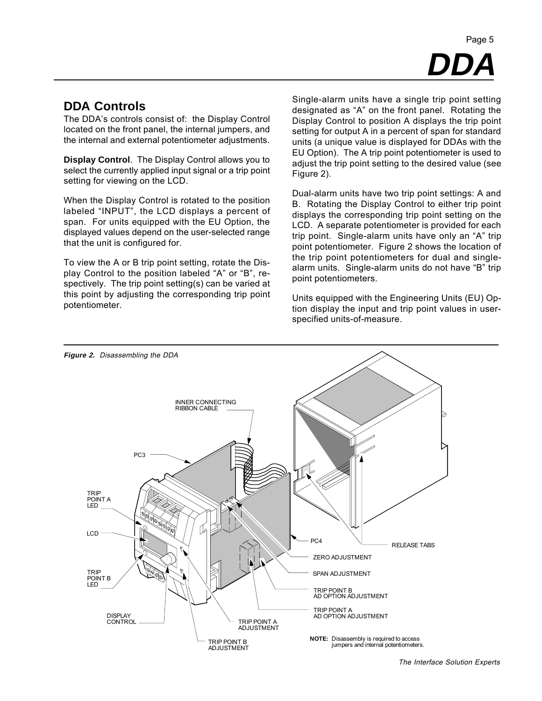# **DDA** Page 5

### **DDA Controls**

The DDA's controls consist of: the Display Control located on the front panel, the internal jumpers, and the internal and external potentiometer adjustments.

**Display Control**. The Display Control allows you to select the currently applied input signal or a trip point setting for viewing on the LCD.

When the Display Control is rotated to the position labeled "INPUT", the LCD displays a percent of span. For units equipped with the EU Option, the displayed values depend on the user-selected range that the unit is configured for.

To view the A or B trip point setting, rotate the Display Control to the position labeled "A" or "B", respectively. The trip point setting(s) can be varied at this point by adjusting the corresponding trip point potentiometer.

Single-alarm units have a single trip point setting designated as "A" on the front panel. Rotating the Display Control to position A displays the trip point setting for output A in a percent of span for standard units (a unique value is displayed for DDAs with the EU Option). The A trip point potentiometer is used to adjust the trip point setting to the desired value (see Figure 2).

Dual-alarm units have two trip point settings: A and B. Rotating the Display Control to either trip point displays the corresponding trip point setting on the LCD. A separate potentiometer is provided for each trip point. Single-alarm units have only an "A" trip point potentiometer. Figure 2 shows the location of the trip point potentiometers for dual and singlealarm units. Single-alarm units do not have "B" trip point potentiometers.

Units equipped with the Engineering Units (EU) Option display the input and trip point values in userspecified units-of-measure.



The Interface Solution Experts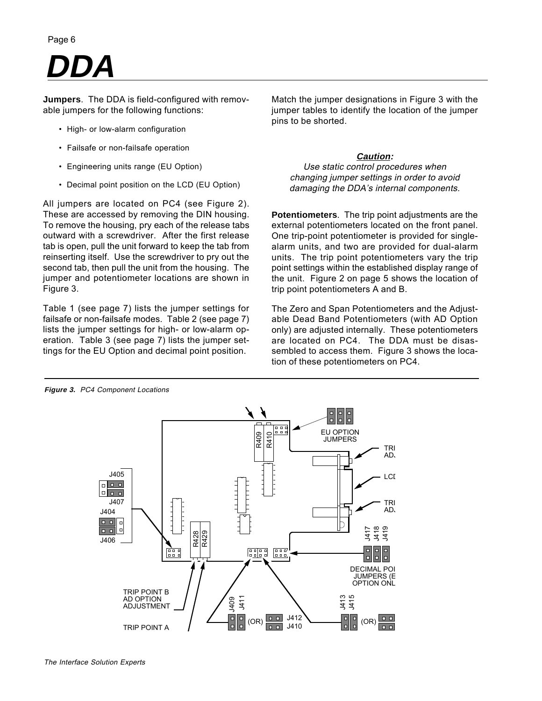# **DDA**

**Jumpers**. The DDA is field-configured with removable jumpers for the following functions:

- High- or low-alarm configuration
- Failsafe or non-failsafe operation
- Engineering units range (EU Option)
- Decimal point position on the LCD (EU Option)

All jumpers are located on PC4 (see Figure 2). These are accessed by removing the DIN housing. To remove the housing, pry each of the release tabs outward with a screwdriver. After the first release tab is open, pull the unit forward to keep the tab from reinserting itself. Use the screwdriver to pry out the second tab, then pull the unit from the housing. The jumper and potentiometer locations are shown in Figure 3.

Table 1 (see page 7) lists the jumper settings for failsafe or non-failsafe modes. Table 2 (see page 7) lists the jumper settings for high- or low-alarm operation. Table 3 (see page 7) lists the jumper settings for the EU Option and decimal point position.

Match the jumper designations in Figure 3 with the jumper tables to identify the location of the jumper pins to be shorted.

#### **Caution:**

Use static control procedures when changing jumper settings in order to avoid damaging the DDA's internal components.

**Potentiometers**. The trip point adjustments are the external potentiometers located on the front panel. One trip-point potentiometer is provided for singlealarm units, and two are provided for dual-alarm units. The trip point potentiometers vary the trip point settings within the established display range of the unit. Figure 2 on page 5 shows the location of trip point potentiometers A and B.

The Zero and Span Potentiometers and the Adjustable Dead Band Potentiometers (with AD Option only) are adjusted internally. These potentiometers are located on PC4. The DDA must be disassembled to access them. Figure 3 shows the location of these potentiometers on PC4.

**Figure 3.** PC4 Component Locations

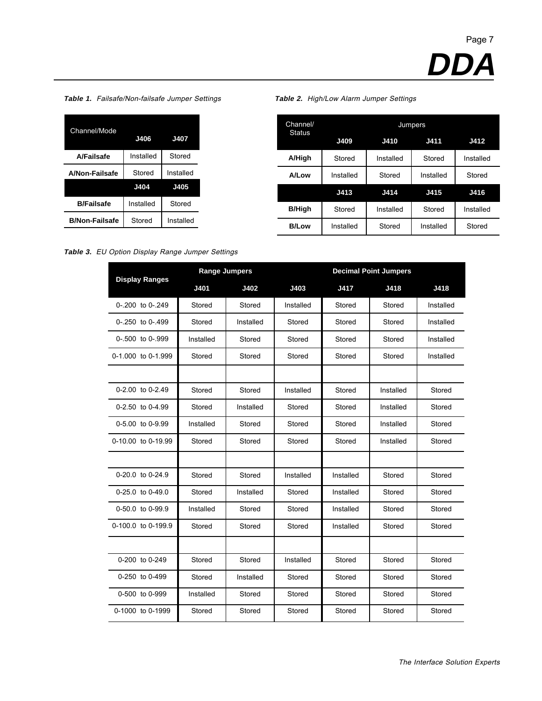**Table 1.** Failsafe/Non-failsafe Jumper Settings **Table 2.** High/Low Alarm Jumper Settings

| Channel/Mode          | J406      | <b>J407</b> |
|-----------------------|-----------|-------------|
| A/Failsafe            | Installed | Stored      |
| A/Non-Failsafe        | Stored    | Installed   |
|                       | J404      | J405        |
| <b>B/Failsafe</b>     | Installed | Stored      |
| <b>B/Non-Failsafe</b> | Stored    | Installed   |

| Channel/<br><b>Status</b> |           |           | <b>Jumpers</b> |             |
|---------------------------|-----------|-----------|----------------|-------------|
|                           | J409      | J410      | J411           | <b>J412</b> |
| A/High                    | Stored    | Installed | Stored         | Installed   |
| A/Low                     | Installed | Stored    | Installed      | Stored      |
|                           | J413      | J414      | J415           | J416        |
| <b>B/High</b>             | Stored    | Installed | Stored         | Installed   |
| <b>B/Low</b>              | Installed | Stored    | Installed      | Stored      |

**Table 3.** EU Option Display Range Jumper Settings

| <b>Display Ranges</b> | <b>Range Jumpers</b> |           |           |           | <b>Decimal Point Jumpers</b> |           |
|-----------------------|----------------------|-----------|-----------|-----------|------------------------------|-----------|
|                       | J401                 | J402      | J403      | J417      | J418                         | J418      |
| 0-.200 to 0-.249      | Stored               | Stored    | Installed | Stored    | Stored                       | Installed |
| 0-.250 to 0-.499      | Stored               | Installed | Stored    | Stored    | Stored                       | Installed |
| 0-.500 to 0-.999      | Installed            | Stored    | Stored    | Stored    | Stored                       | Installed |
| 0-1.000 to 0-1.999    | Stored               | Stored    | Stored    | Stored    | Stored                       | Installed |
|                       |                      |           |           |           |                              |           |
| $0-2.00$ to $0-2.49$  | Stored               | Stored    | Installed | Stored    | Installed                    | Stored    |
| $0-2.50$ to $0-4.99$  | Stored               | Installed | Stored    | Stored    | Installed                    | Stored    |
| 0-5.00 to 0-9.99      | Installed            | Stored    | Stored    | Stored    | Installed                    | Stored    |
| 0-10.00 to 0-19.99    | Stored               | Stored    | Stored    | Stored    | Installed                    | Stored    |
|                       |                      |           |           |           |                              |           |
| 0-20.0 to 0-24.9      | Stored               | Stored    | Installed | Installed | Stored                       | Stored    |
| $0-25.0$ to $0-49.0$  | Stored               | Installed | Stored    | Installed | Stored                       | Stored    |
| 0-50.0 to 0-99.9      | Installed            | Stored    | Stored    | Installed | Stored                       | Stored    |
| 0-100.0 to 0-199.9    | Stored               | Stored    | Stored    | Installed | Stored                       | Stored    |
|                       |                      |           |           |           |                              |           |
| 0-200 to 0-249        | Stored               | Stored    | Installed | Stored    | Stored                       | Stored    |
| 0-250 to 0-499        | Stored               | Installed | Stored    | Stored    | Stored                       | Stored    |
| 0-500 to 0-999        | Installed            | Stored    | Stored    | Stored    | Stored                       | Stored    |
| 0-1000 to 0-1999      | Stored               | Stored    | Stored    | Stored    | Stored                       | Stored    |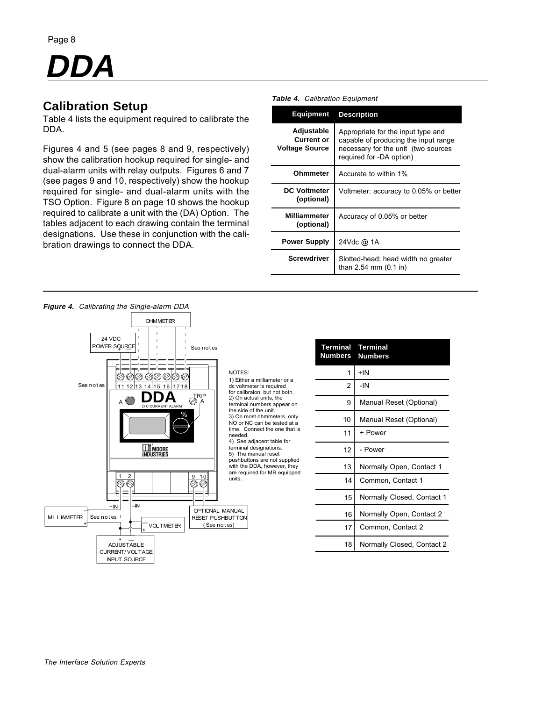# **DDA**

## **Calibration Setup**

Table 4 lists the equipment required to calibrate the DDA.

Figures 4 and 5 (see pages 8 and 9, respectively) show the calibration hookup required for single- and dual-alarm units with relay outputs. Figures 6 and 7 (see pages 9 and 10, respectively) show the hookup required for single- and dual-alarm units with the TSO Option. Figure 8 on page 10 shows the hookup required to calibrate a unit with the (DA) Option. The tables adjacent to each drawing contain the terminal designations. Use these in conjunction with the calibration drawings to connect the DDA.

| <b>Equipment</b>                                  | <b>Description</b>                                                                                                                            |
|---------------------------------------------------|-----------------------------------------------------------------------------------------------------------------------------------------------|
| Adjustable<br>Current or<br><b>Voltage Source</b> | Appropriate for the input type and<br>capable of producing the input range<br>necessary for the unit (two sources<br>required for -DA option) |
| Ohmmeter                                          | Accurate to within 1%                                                                                                                         |
| <b>DC Voltmeter</b><br>(optional)                 | Voltmeter: accuracy to 0.05% or better                                                                                                        |
| <b>Milliammeter</b><br>(optional)                 | Accuracy of 0.05% or better                                                                                                                   |
| <b>Power Supply</b>                               | 24Vdc @ 1A                                                                                                                                    |
| <b>Screwdriver</b>                                | Slotted-head; head width no greater<br>than $2.54 \, \text{mm}$ (0.1 in)                                                                      |

**Table 4.** Calibration Equipment

| <b>OHMMET ER</b><br>24 VDC<br>POWER SQURCE<br>See notes    |                                                                                                                                | <b>Terminal</b><br><b>Numbers</b> | <b>Terminal</b><br><b>Numbers</b> |
|------------------------------------------------------------|--------------------------------------------------------------------------------------------------------------------------------|-----------------------------------|-----------------------------------|
| のののの<br>Ø<br>Ø)                                            | NOTES:                                                                                                                         |                                   | $+IN$                             |
| See not es<br>11 12 13 14 15 16 17 18                      | 1) Either a milliameter or a<br>dc voltmeter is required<br>for calibraion, but not both.                                      | $\overline{2}$                    | $-IN$                             |
| <b>IRIP</b><br>A<br>D.C.CURRENT ALARM                      | 2) On actual units, the<br>terminal numbers appear on                                                                          | 9                                 | Manual Reset (Optional)           |
| ℅                                                          | the side of the unit.<br>3) On most ohmmeters, only<br>NO or NC can be tested at a<br>time. Connect the one that is<br>needed. | 10                                | Manual Reset (Optional)           |
|                                                            |                                                                                                                                | 11                                | + Power                           |
| <b>MOORE</b><br>Industries                                 | 4) See adjacent table for<br>terminal designations.<br>5) The manual reset                                                     | 12                                | - Power                           |
|                                                            | pushbuttons are not supplied<br>with the DDA, however, they<br>are required for MR equipped                                    | 13                                | Normally Open, Contact 1          |
| 10<br>9                                                    | units.                                                                                                                         | 14                                | Common, Contact 1                 |
|                                                            |                                                                                                                                | 15                                | Normally Closed, Contact 1        |
| $\overline{+}$<br>$+IN$<br><b>MILLIAMETER</b><br>See notes | OPTIONAL MANUAL<br><b>RESET PUSHBUTTON</b>                                                                                     | 16                                | Normally Open, Contact 2          |
| <b>VOLTMETER</b><br>$\overline{+}$                         | (See notes)                                                                                                                    | 17                                | Common, Contact 2                 |
| $+$ $-$<br><b>ADJUSTABLE</b><br>CURRENT/VOLTAGE            |                                                                                                                                | 18                                | Normally Closed, Contact 2        |
| <b>INPUT SOURCE</b>                                        |                                                                                                                                |                                   |                                   |

#### **Figure 4.** Calibrating the Single-alarm DDA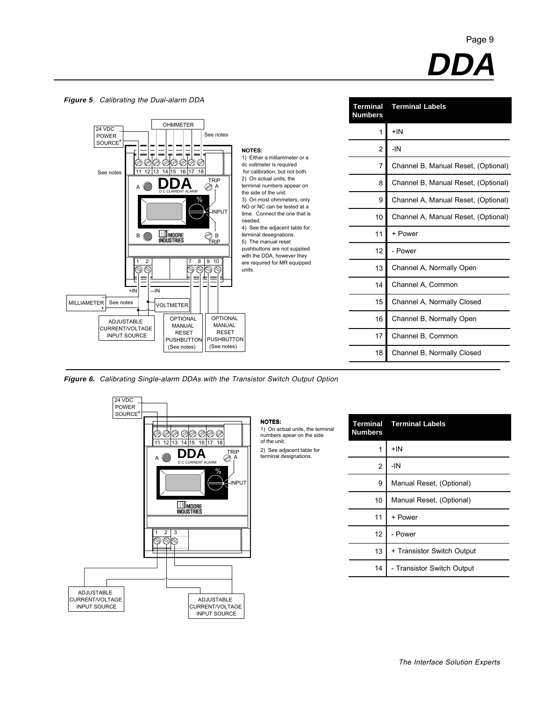



**Figure 6.** Calibrating Single-alarm DDAs with the Transistor Switch Output Option



NOTES: 1) On actual units, the terminal numbers apear on the side of the unit.

2) See adjacent table for terminal designations.

| <b>Terminal</b><br><b>Numbers</b> | <b>Terminal Labels</b>     |
|-----------------------------------|----------------------------|
| 1                                 | $+IN$                      |
| $\overline{2}$                    | -IN                        |
| 9                                 | Manual Reset, (Optional)   |
| 10                                | Manual Reset, (Optional)   |
| 11                                | + Power                    |
| 12                                | - Power                    |
| 13                                | + Transistor Switch Output |
| 14                                | - Transistor Switch Output |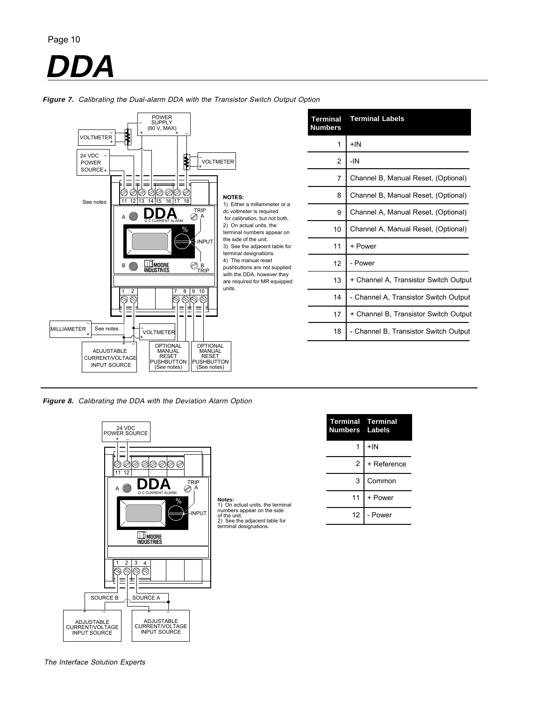# **DDA**



|  |  | <b>Figure 7.</b> Calibrating the Dual-alarm DDA with the Transistor Switch Output Option |  |
|--|--|------------------------------------------------------------------------------------------|--|
|  |  |                                                                                          |  |

| <b>Terminal</b><br><b>Numbers</b> | <b>Terminal Labels</b>                |
|-----------------------------------|---------------------------------------|
| 1                                 | $+IN$                                 |
| 2                                 | -IN                                   |
| 7                                 | Channel B, Manual Reset, (Optional)   |
| 8                                 | Channel B, Manual Reset, (Optional)   |
| 9                                 | Channel A, Manual Reset, (Optional)   |
| 10                                | Channel A, Manual Reset, (Optional)   |
| 11                                | + Power                               |
| 12                                | - Power                               |
| 13                                | + Channel A, Transistor Switch Output |
| 14                                | - Channel A, Transistor Switch Output |
| 17                                | + Channel B, Transistor Switch Output |
| 18                                | - Channel B, Transistor Switch Output |

**Figure 8.** Calibrating the DDA with the Deviation Alarm Option



| <b>Terminal Terminal</b><br><b>Numbers Labels</b> |             |
|---------------------------------------------------|-------------|
|                                                   | $+IN$       |
| $\overline{2}$                                    | + Reference |
| 3                                                 | Common      |
| 11                                                | + Power     |
| 12                                                | - Power     |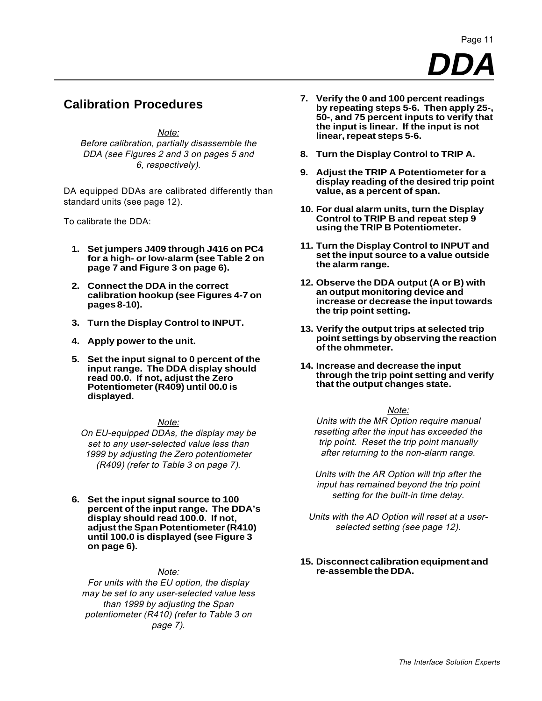### **Calibration Procedures**

Note: Before calibration, partially disassemble the DDA (see Figures 2 and 3 on pages 5 and 6, respectively).

DA equipped DDAs are calibrated differently than standard units (see page 12).

To calibrate the DDA:

- **1. Set jumpers J409 through J416 on PC4 for a high- or low-alarm (see Table 2 on page 7 and Figure 3 on page 6).**
- **2. Connect the DDA in the correct calibration hookup (see Figures 4-7 on pages 8-10).**
- **3. Turn the Display Control to INPUT.**
- **4. Apply power to the unit.**
- **5. Set the input signal to 0 percent of the input range. The DDA display should read 00.0. If not, adjust the Zero Potentiometer (R409) until 00.0 is displayed.**

#### Note:

On EU-equipped DDAs, the display may be set to any user-selected value less than 1999 by adjusting the Zero potentiometer (R409) (refer to Table 3 on page 7).

**6. Set the input signal source to 100 percent of the input range. The DDA's display should read 100.0. If not, adjust the Span Potentiometer (R410) until 100.0 is displayed (see Figure 3 on page 6).**

#### Note:

For units with the EU option, the display may be set to any user-selected value less than 1999 by adjusting the Span potentiometer (R410) (refer to Table 3 on page 7).

- **7. Verify the 0 and 100 percent readings by repeating steps 5-6. Then apply 25-, 50-, and 75 percent inputs to verify that the input is linear. If the input is not linear, repeat steps 5-6.**
- **8. Turn the Display Control to TRIP A.**
- **9. Adjust the TRIP A Potentiometer for a display reading of the desired trip point value, as a percent of span.**
- **10. For dual alarm units, turn the Display Control to TRIP B and repeat step 9 using the TRIP B Potentiometer.**
- **11. Turn the Display Control to INPUT and set the input source to a value outside the alarm range.**
- **12. Observe the DDA output (A or B) with an output monitoring device and increase or decrease the input towards the trip point setting.**
- **13. Verify the output trips at selected trip point settings by observing the reaction of the ohmmeter.**
- **14. Increase and decrease the input through the trip point setting and verify that the output changes state.**

#### Note:

Units with the MR Option require manual resetting after the input has exceeded the trip point. Reset the trip point manually after returning to the non-alarm range.

Units with the AR Option will trip after the input has remained beyond the trip point setting for the built-in time delay.

- Units with the AD Option will reset at a userselected setting (see page 12).
- **15. Disconnect calibration equipment and re-assemble the DDA.**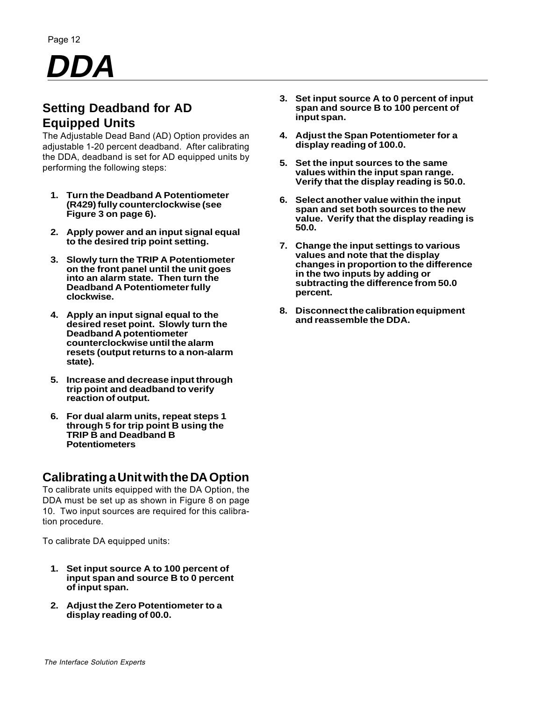# **DDA**

# **Setting Deadband for AD Equipped Units**

The Adjustable Dead Band (AD) Option provides an adjustable 1-20 percent deadband. After calibrating the DDA, deadband is set for AD equipped units by performing the following steps:

- **1. Turn the Deadband A Potentiometer (R429) fully counterclockwise (see Figure 3 on page 6).**
- **2. Apply power and an input signal equal to the desired trip point setting.**
- **3. Slowly turn the TRIP A Potentiometer on the front panel until the unit goes into an alarm state. Then turn the Deadband A Potentiometer fully clockwise.**
- **4. Apply an input signal equal to the desired reset point. Slowly turn the Deadband A potentiometer counterclockwise until the alarm resets (output returns to a non-alarm state).**
- **5. Increase and decrease input through trip point and deadband to verify reaction of output.**
- **6. For dual alarm units, repeat steps 1 through 5 for trip point B using the TRIP B and Deadband B Potentiometers**

### **Calibrating a Unit with the DA Option**

To calibrate units equipped with the DA Option, the DDA must be set up as shown in Figure 8 on page 10. Two input sources are required for this calibration procedure.

To calibrate DA equipped units:

- **1. Set input source A to 100 percent of input span and source B to 0 percent of input span.**
- **2. Adjust the Zero Potentiometer to a display reading of 00.0.**
- **3. Set input source A to 0 percent of input span and source B to 100 percent of input span.**
- **4. Adjust the Span Potentiometer for a display reading of 100.0.**
- **5. Set the input sources to the same values within the input span range. Verify that the display reading is 50.0.**
- **6. Select another value within the input span and set both sources to the new value. Verify that the display reading is 50.0.**
- **7. Change the input settings to various values and note that the display changes in proportion to the difference in the two inputs by adding or subtracting the difference from 50.0 percent.**
- **8. Disconnect the calibration equipment and reassemble the DDA.**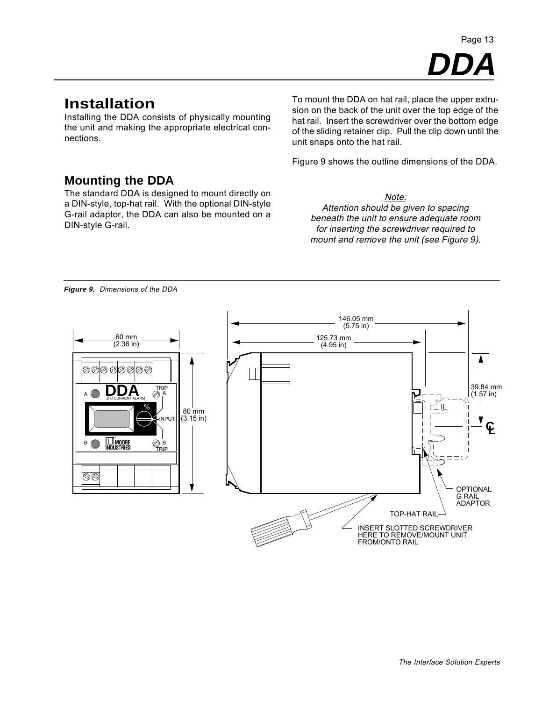**DDA** Page 13

# **Installation**

Installing the DDA consists of physically mounting the unit and making the appropriate electrical connections.

To mount the DDA on hat rail, place the upper extrusion on the back of the unit over the top edge of the hat rail. Insert the screwdriver over the bottom edge of the sliding retainer clip. Pull the clip down until the unit snaps onto the hat rail.

Figure 9 shows the outline dimensions of the DDA.

### **Mounting the DDA**

The standard DDA is designed to mount directly on a DIN-style, top-hat rail. With the optional DIN-style G-rail adaptor, the DDA can also be mounted on a DIN-style G-rail.

Note: Attention should be given to spacing beneath the unit to ensure adequate room for inserting the screwdriver required to mount and remove the unit (see Figure 9).

**Figure 9.** Dimensions of the DDA

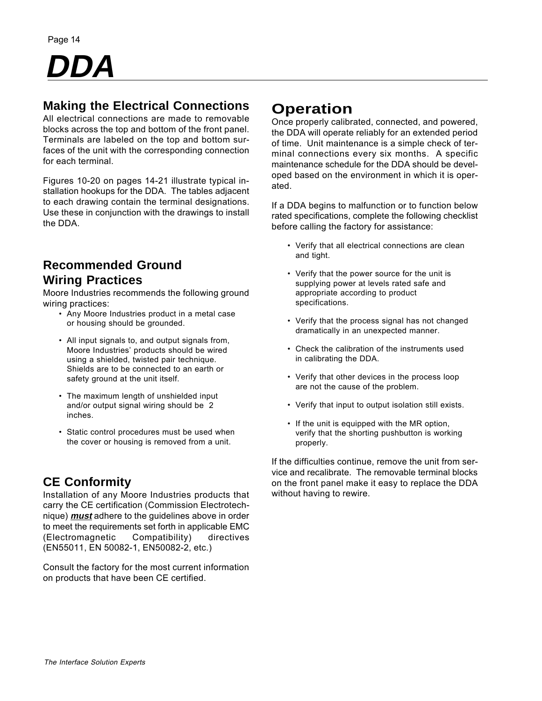

## **Making the Electrical Connections**

All electrical connections are made to removable blocks across the top and bottom of the front panel. Terminals are labeled on the top and bottom surfaces of the unit with the corresponding connection for each terminal.

Figures 10-20 on pages 14-21 illustrate typical installation hookups for the DDA. The tables adjacent to each drawing contain the terminal designations. Use these in conjunction with the drawings to install the DDA.

## **Recommended Ground Wiring Practices**

Moore Industries recommends the following ground wiring practices:

- Any Moore Industries product in a metal case or housing should be grounded.
- All input signals to, and output signals from, Moore Industries' products should be wired using a shielded, twisted pair technique. Shields are to be connected to an earth or safety ground at the unit itself.
- The maximum length of unshielded input and/or output signal wiring should be 2 inches.
- Static control procedures must be used when the cover or housing is removed from a unit.

# **CE Conformity**

Installation of any Moore Industries products that carry the CE certification (Commission Electrotechnique) **must** adhere to the guidelines above in order to meet the requirements set forth in applicable EMC (Electromagnetic Compatibility) directives (EN55011, EN 50082-1, EN50082-2, etc.)

Consult the factory for the most current information on products that have been CE certified.

# **Operation**

Once properly calibrated, connected, and powered, the DDA will operate reliably for an extended period of time. Unit maintenance is a simple check of terminal connections every six months. A specific maintenance schedule for the DDA should be developed based on the environment in which it is operated.

If a DDA begins to malfunction or to function below rated specifications, complete the following checklist before calling the factory for assistance:

- Verify that all electrical connections are clean and tight.
- Verify that the power source for the unit is supplying power at levels rated safe and appropriate according to product specifications.
- Verify that the process signal has not changed dramatically in an unexpected manner.
- Check the calibration of the instruments used in calibrating the DDA.
- Verify that other devices in the process loop are not the cause of the problem.
- Verify that input to output isolation still exists.
- If the unit is equipped with the MR option, verify that the shorting pushbutton is working properly.

If the difficulties continue, remove the unit from service and recalibrate. The removable terminal blocks on the front panel make it easy to replace the DDA without having to rewire.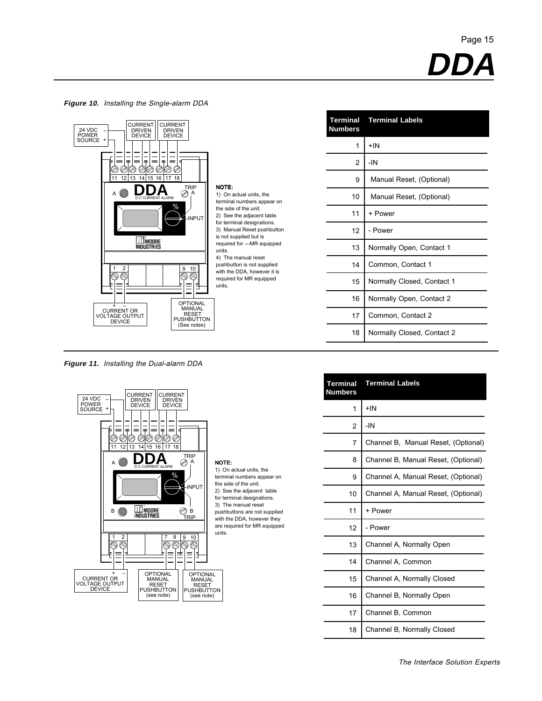**Figure 10.** Installing the Single-alarm DDA



**Figure 11.** Installing the Dual-alarm DDA



| <b>Terminal</b><br><b>Numbers</b> | <b>Terminal Labels</b>     |
|-----------------------------------|----------------------------|
| 1                                 | $+$ IN                     |
| 2                                 | $-IN$                      |
| 9                                 | Manual Reset, (Optional)   |
| 10                                | Manual Reset, (Optional)   |
| 11                                | + Power                    |
| 12                                | - Power                    |
| 13                                | Normally Open, Contact 1   |
| 14                                | Common, Contact 1          |
| 15                                | Normally Closed, Contact 1 |
| 16                                | Normally Open, Contact 2   |
| 17                                | Common, Contact 2          |
| 18                                | Normally Closed, Contact 2 |

| <b>Terminal</b><br><b>Numbers</b> | <b>Terminal Labels</b>              |
|-----------------------------------|-------------------------------------|
| 1                                 | $+$ IN                              |
| 2                                 | -IN                                 |
| 7                                 | Channel B, Manual Reset, (Optional) |
| 8                                 | Channel B, Manual Reset, (Optional) |
| 9                                 | Channel A, Manual Reset, (Optional) |
| 10                                | Channel A, Manual Reset, (Optional) |
| 11                                | + Power                             |
| 12                                | - Power                             |
| 13                                | Channel A, Normally Open            |
| 14                                | Channel A, Common                   |
| 15                                | Channel A, Normally Closed          |
| 16                                | Channel B, Normally Open            |
| 17                                | Channel B, Common                   |
| 18                                | Channel B, Normally Closed          |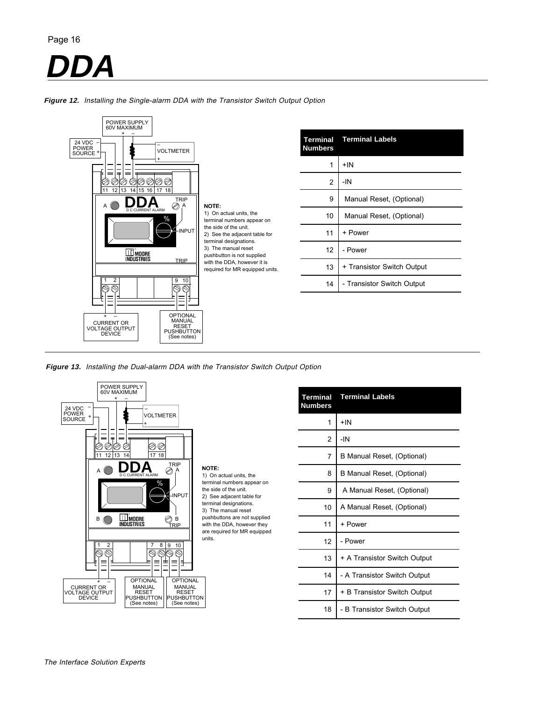# Page 16 **DDA**



**Figure 12.** Installing the Single-alarm DDA with the Transistor Switch Output Option

**Figure 13.** Installing the Dual-alarm DDA with the Transistor Switch Output Option



| <b>Terminal</b><br><b>Numbers</b> | <b>Terminal Labels</b>       |
|-----------------------------------|------------------------------|
| 1                                 | $+IN$                        |
| 2                                 | -IN                          |
| 7                                 | B Manual Reset, (Optional)   |
| 8                                 | B Manual Reset, (Optional)   |
| 9                                 | A Manual Reset, (Optional)   |
| 10                                | A Manual Reset, (Optional)   |
| 11                                | + Power                      |
| 12                                | - Power                      |
| 13                                | + A Transistor Switch Output |
| 14                                | - A Transistor Switch Output |
| 17                                | + B Transistor Switch Output |
| 18                                | - B Transistor Switch Output |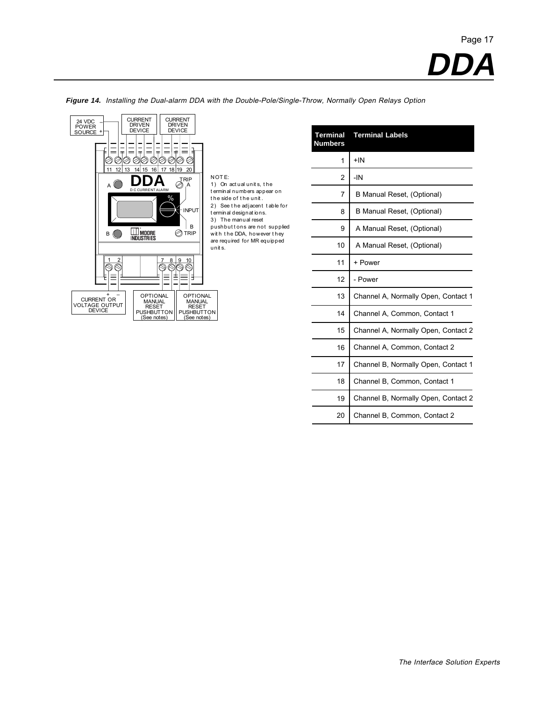

**Figure 14.** Installing the Dual-alarm DDA with the Double-Pole/Single-Throw, Normally Open Relays Option

NOT E: 1) On act ual unit s, t he t erminal numbers appear on t he side of t he unit . 2) See t he adjacent t able for t erminal designat ions. 3) The manual reset pushbuttons are not supplied wit h t he DDA, however t hey are required for MR equipped unit s.

| Terminal<br><b>Numbers</b> | <b>Terminal Labels</b>              |
|----------------------------|-------------------------------------|
| 1                          | $+IN$                               |
| 2                          | -IN                                 |
| 7                          | B Manual Reset, (Optional)          |
| 8                          | B Manual Reset, (Optional)          |
| 9                          | A Manual Reset, (Optional)          |
| 10                         | A Manual Reset, (Optional)          |
| 11                         | + Power                             |
| 12                         | - Power                             |
| 13                         | Channel A, Normally Open, Contact 1 |
| 14                         | Channel A, Common, Contact 1        |
| 15                         | Channel A, Normally Open, Contact 2 |
| 16                         | Channel A, Common, Contact 2        |
| 17                         | Channel B, Normally Open, Contact 1 |
| 18                         | Channel B, Common, Contact 1        |
| 19                         | Channel B, Normally Open, Contact 2 |
| 20                         | Channel B, Common, Contact 2        |
|                            |                                     |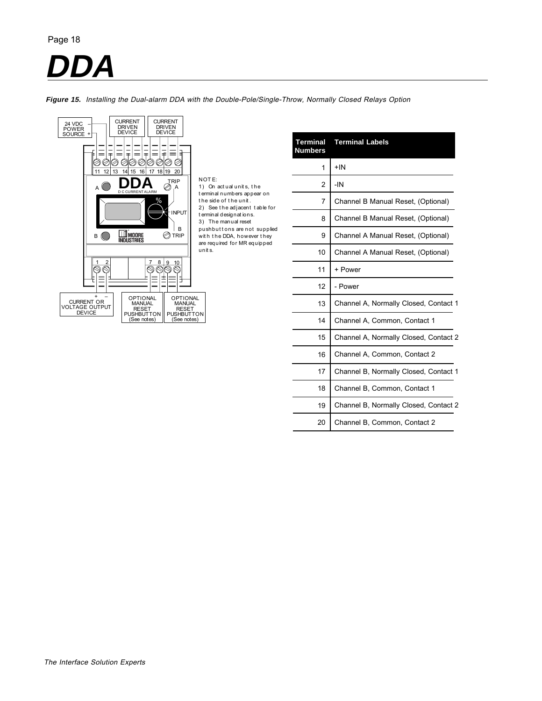# **DA**

**Figure 15.** Installing the Dual-alarm DDA with the Double-Pole/Single-Throw, Normally Closed Relays Option



NOT E: 1) On act ual unit s, t he t erminal numbers appear on t he side of t he unit . 2) See t he adjacent t able for t erminal designat ions. 3) The manual reset pushbut t ons are not supplied wit h t he DDA, however t hey are required for MR equipped unit s.

| <b>Terminal</b><br><b>Numbers</b> | <b>Terminal Labels</b>                |
|-----------------------------------|---------------------------------------|
| 1                                 | +IN                                   |
| 2                                 | -IN                                   |
| 7                                 | Channel B Manual Reset, (Optional)    |
| 8                                 | Channel B Manual Reset, (Optional)    |
| 9                                 | Channel A Manual Reset, (Optional)    |
| 10                                | Channel A Manual Reset, (Optional)    |
| 11                                | + Power                               |
| 12                                | - Power                               |
| 13                                | Channel A, Normally Closed, Contact 1 |
| 14                                | Channel A, Common, Contact 1          |
| 15                                | Channel A, Normally Closed, Contact 2 |
| 16                                | Channel A, Common, Contact 2          |
| 17                                | Channel B, Normally Closed, Contact 1 |
| 18                                | Channel B, Common, Contact 1          |
| 19                                | Channel B, Normally Closed, Contact 2 |
| 20                                | Channel B, Common, Contact 2          |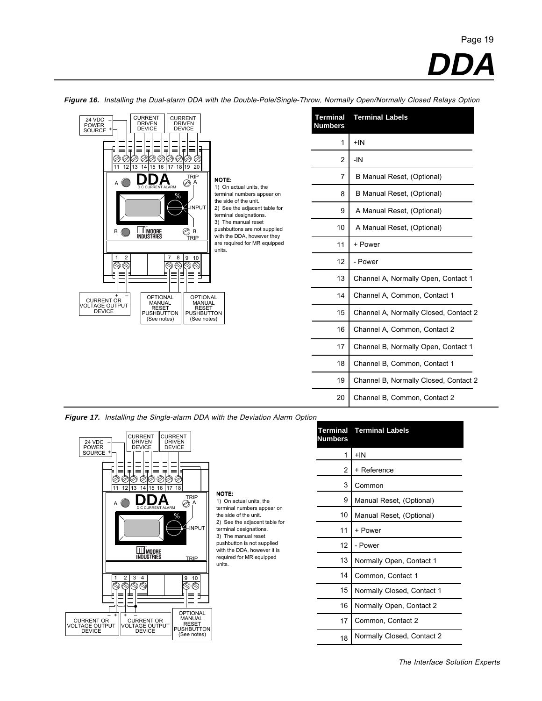**DDA**



**Figure 16.** Installing the Dual-alarm DDA with the Double-Pole/Single-Throw, Normally Open/Normally Closed Relays Option

| <b>Terminal</b><br><b>Numbers</b> | <b>Terminal Labels</b>                |
|-----------------------------------|---------------------------------------|
| 1                                 | $+IN$                                 |
| 2                                 | $-IN$                                 |
| 7                                 | B Manual Reset, (Optional)            |
| 8                                 | B Manual Reset, (Optional)            |
| 9                                 | A Manual Reset, (Optional)            |
| 10                                | A Manual Reset, (Optional)            |
| 11                                | + Power                               |
| 12                                | - Power                               |
| 13                                | Channel A, Normally Open, Contact 1   |
| 14                                | Channel A, Common, Contact 1          |
| 15                                | Channel A, Normally Closed, Contact 2 |
| 16                                | Channel A, Common, Contact 2          |
| 17                                | Channel B, Normally Open, Contact 1   |
| 18                                | Channel B, Common, Contact 1          |
| 19                                | Channel B, Normally Closed, Contact 2 |
| 20                                | Channel B, Common, Contact 2          |

**Figure 17.** Installing the Single-alarm DDA with the Deviation Alarm Option

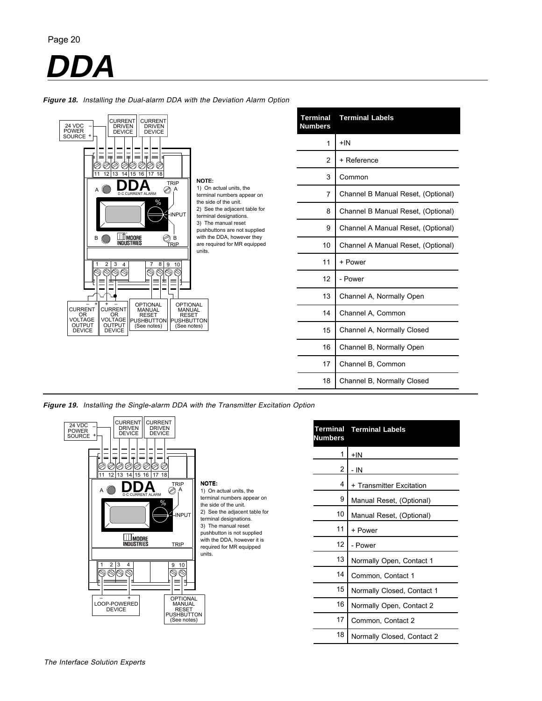**DDA**



**Figure 18.** Installing the Dual-alarm DDA with the Deviation Alarm Option

**Figure 19.** Installing the Single-alarm DDA with the Transmitter Excitation Option



| <u>Numbers</u> | <b>Terminal Terminal Labels</b> |
|----------------|---------------------------------|
| 1              | $+IN$                           |
| 2              | - IN                            |
| 4              | + Transmitter Excitation        |
| 9              | Manual Reset, (Optional)        |
| 10             | Manual Reset, (Optional)        |
| 11             | + Power                         |
| 12             | - Power                         |
| 13             | Normally Open, Contact 1        |
| 14             | Common, Contact 1               |
| 15             | Normally Closed, Contact 1      |
| 16             | Normally Open, Contact 2        |
| 17             | Common, Contact 2               |
| 18             | Normally Closed, Contact 2      |

Channel B, Normally Closed

18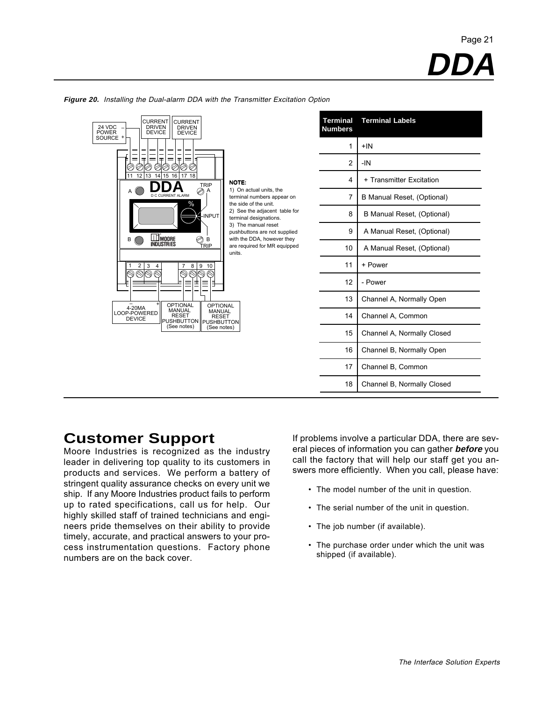| <b>CURRENT</b><br><b>CURRENT</b><br>24 VDC<br><b>DRIVEN</b><br><b>DRIVEN</b><br><b>POWER</b><br><b>DEVICE</b><br><b>DEVICE</b>                              | <b>Terminal</b><br><b>Numbers</b> | <b>Terminal Labels</b>     |
|-------------------------------------------------------------------------------------------------------------------------------------------------------------|-----------------------------------|----------------------------|
| SOURCE +                                                                                                                                                    |                                   | $+IN$                      |
| 手<br>±.<br>$=$<br>$=$<br>=<br>$=$<br>Ø<br>⊘<br>⊘                                                                                                            | 2                                 | $-IN$                      |
| 13 14 15 16<br>17 18<br>12 <sup>1</sup><br>11<br><b>NOTE:</b><br><b>TRIP</b>                                                                                | 4                                 | + Transmitter Excitation   |
| 1) On actual units, the<br>A<br>D.C.CURRENT ALARM<br>terminal numbers appear on<br>the side of the unit.<br>%                                               | 7                                 | B Manual Reset, (Optional) |
| 2) See the adjacent table for<br>-INPUT<br>terminal designations.                                                                                           | 8                                 | B Manual Reset, (Optional) |
| 3) The manual reset<br>pushbuttons are not supplied<br>with the DDA, however they                                                                           | 9                                 | A Manual Reset, (Optional) |
| <b>WANDORE</b><br>INDUSTRIES<br>$\bigotimes_{\underline{\underline{\mathsf{RIP}}}}\underline{\mathsf{L}}$<br>B<br>are required for MR equipped<br>units.    | 10                                | A Manual Reset, (Optional) |
| $\overline{2}$<br>3<br>8 <sup>9</sup><br>10<br>$\overline{4}$                                                                                               | 11                                | + Power                    |
| Ξ<br>╕                                                                                                                                                      | 12                                | - Power                    |
| <b>OPTIONAL</b><br><b>OPTIONAL</b>                                                                                                                          | 13                                | Channel A, Normally Open   |
| 4-20MA<br>MANUAL<br><b>MANUAL</b><br>LOOP-POWERED<br><b>RESET</b><br><b>RESET</b><br><b>DEVICE</b><br>PUSHBUTTON   PUSHBUTTON<br>(See notes)<br>(See notes) | 14                                | Channel A, Common          |
|                                                                                                                                                             | 15                                | Channel A, Normally Closed |
|                                                                                                                                                             |                                   | Channel B, Normally Open   |
|                                                                                                                                                             |                                   | Channel B, Common          |
|                                                                                                                                                             | 18                                | Channel B, Normally Closed |

#### **Figure 20.** Installing the Dual-alarm DDA with the Transmitter Excitation Option

## **Customer Support**

Moore Industries is recognized as the industry leader in delivering top quality to its customers in products and services. We perform a battery of stringent quality assurance checks on every unit we ship. If any Moore Industries product fails to perform up to rated specifications, call us for help. Our highly skilled staff of trained technicians and engineers pride themselves on their ability to provide timely, accurate, and practical answers to your process instrumentation questions. Factory phone numbers are on the back cover.

If problems involve a particular DDA, there are several pieces of information you can gather **before** you call the factory that will help our staff get you answers more efficiently. When you call, please have:

- The model number of the unit in question.
- The serial number of the unit in question.
- The job number (if available).
- The purchase order under which the unit was shipped (if available).